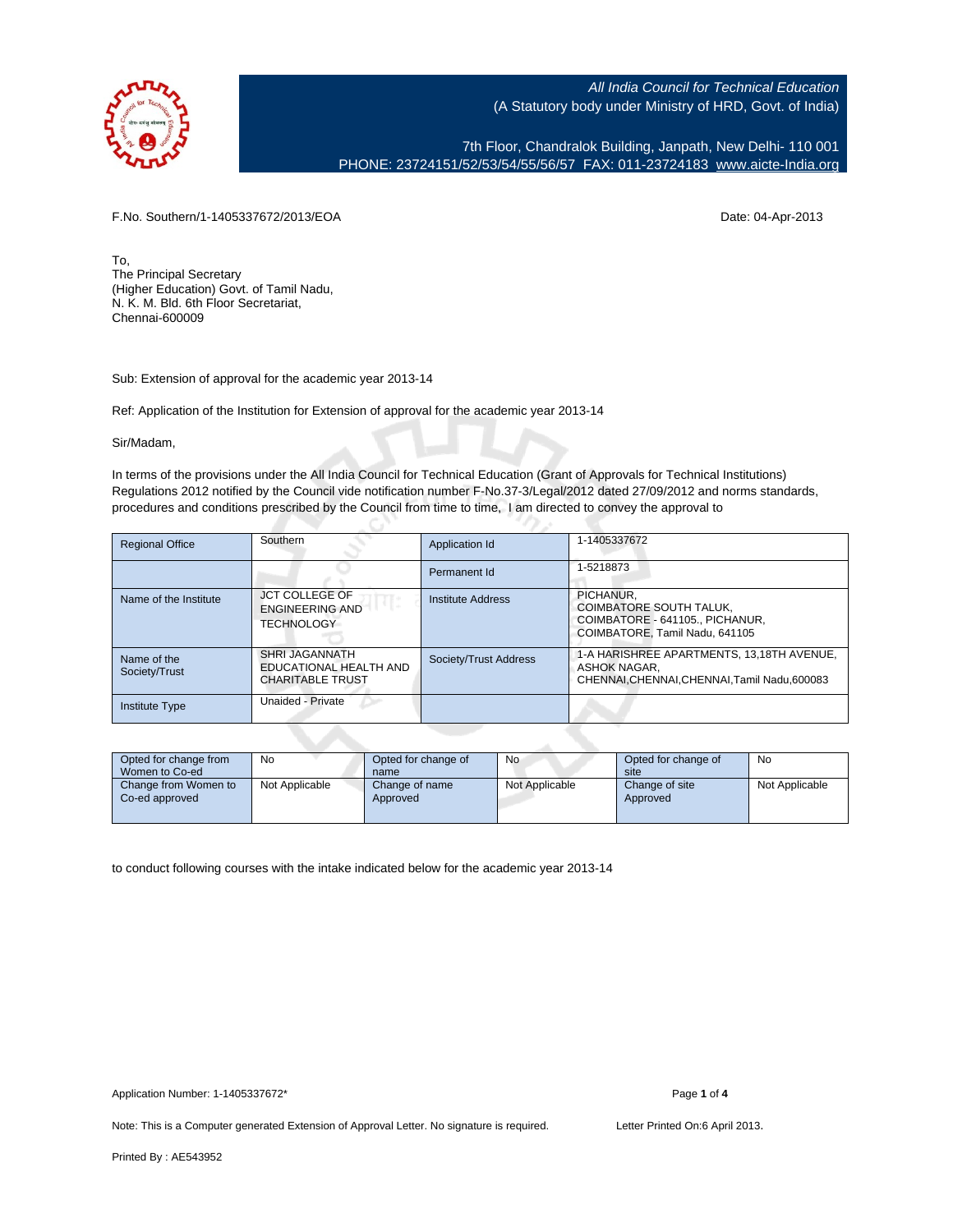

7th Floor, Chandralok Building, Janpath, New Delhi- 110 001 PHONE: 23724151/52/53/54/55/56/57 FAX: 011-23724183 [www.aicte-India.org](http://www.aicte-India.org)

F.No. Southern/1-1405337672/2013/EOA Date: 04-Apr-2013

To, The Principal Secretary (Higher Education) Govt. of Tamil Nadu, N. K. M. Bld. 6th Floor Secretariat, Chennai-600009

Sub: Extension of approval for the academic year 2013-14

Ref: Application of the Institution for Extension of approval for the academic year 2013-14

Sir/Madam,

In terms of the provisions under the All India Council for Technical Education (Grant of Approvals for Technical Institutions) Regulations 2012 notified by the Council vide notification number F-No.37-3/Legal/2012 dated 27/09/2012 and norms standards, procedures and conditions prescribed by the Council from time to time, I am directed to convey the approval to

| <b>Regional Office</b>       | Southern                                                             | Application Id        | 1-1405337672                                                                                               |
|------------------------------|----------------------------------------------------------------------|-----------------------|------------------------------------------------------------------------------------------------------------|
|                              |                                                                      | Permanent Id          | 1-5218873                                                                                                  |
| Name of the Institute        | <b>JCT COLLEGE OF</b><br><b>ENGINEERING AND</b><br><b>TECHNOLOGY</b> | Institute Address     | PICHANUR.<br>COIMBATORE SOUTH TALUK.<br>COIMBATORE - 641105 PICHANUR.<br>COIMBATORE. Tamil Nadu, 641105    |
| Name of the<br>Society/Trust | SHRI JAGANNATH<br>EDUCATIONAL HEALTH AND<br><b>CHARITABLE TRUST</b>  | Society/Trust Address | 1-A HARISHREE APARTMENTS, 13,18TH AVENUE,<br>ASHOK NAGAR.<br>CHENNAI, CHENNAI, CHENNAI, Tamil Nadu, 600083 |
| <b>Institute Type</b>        | Unaided - Private                                                    |                       |                                                                                                            |

| Opted for change from<br>Women to Co-ed | No             | Opted for change of<br>name | <b>No</b>      | Opted for change of<br>site | No             |
|-----------------------------------------|----------------|-----------------------------|----------------|-----------------------------|----------------|
| Change from Women to<br>Co-ed approved  | Not Applicable | Change of name<br>Approved  | Not Applicable | Change of site<br>Approved  | Not Applicable |

to conduct following courses with the intake indicated below for the academic year 2013-14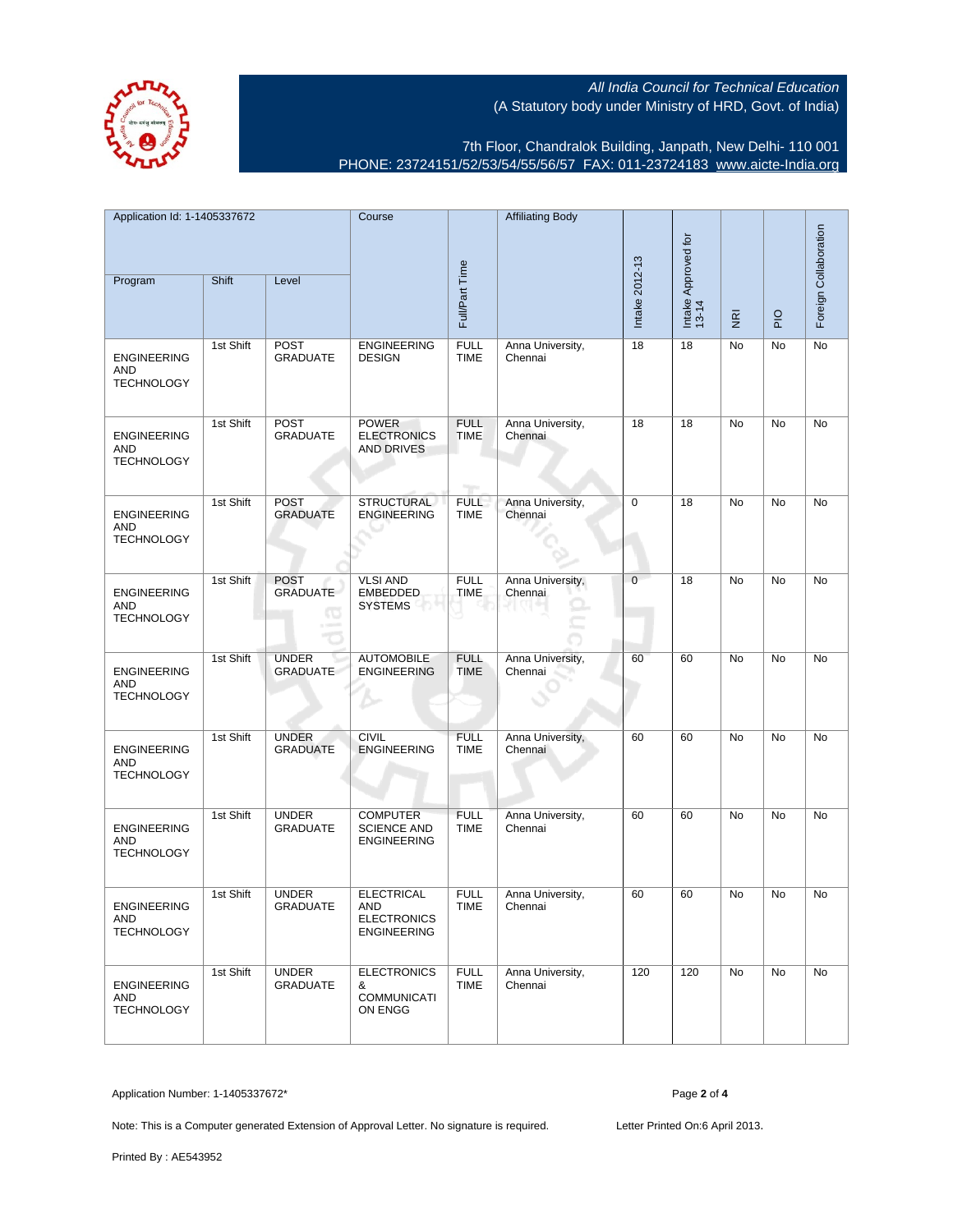

7th Floor, Chandralok Building, Janpath, New Delhi- 110 001 PHONE: 23724151/52/53/54/55/56/57 FAX: 011-23724183 [www.aicte-India.org](http://www.aicte-India.org)

| Application Id: 1-1405337672<br>Shift<br>Program<br>Level |           | Course<br>Full/Part Time            |                                                                      | <b>Affiliating Body</b>            | Intake 2012-13              | Intake Approved for<br>13-14 |                                     |             | Foreign Collaboration |    |
|-----------------------------------------------------------|-----------|-------------------------------------|----------------------------------------------------------------------|------------------------------------|-----------------------------|------------------------------|-------------------------------------|-------------|-----------------------|----|
|                                                           |           |                                     |                                                                      |                                    |                             |                              | $\overline{\underline{\mathbf{g}}}$ | $rac{O}{P}$ |                       |    |
| <b>ENGINEERING</b><br><b>AND</b><br><b>TECHNOLOGY</b>     | 1st Shift | <b>POST</b><br><b>GRADUATE</b>      | <b>ENGINEERING</b><br><b>DESIGN</b>                                  | <b>FULL</b><br><b>TIME</b>         | Anna University,<br>Chennai | 18                           | 18                                  | No          | No                    | No |
| <b>ENGINEERING</b><br>AND<br><b>TECHNOLOGY</b>            | 1st Shift | <b>POST</b><br><b>GRADUATE</b>      | <b>POWER</b><br><b>ELECTRONICS</b><br>AND DRIVES                     | <b>FULL</b><br><b>TIME</b><br>nge. | Anna University,<br>Chennai | 18                           | 18                                  | No          | <b>No</b>             | No |
| <b>ENGINEERING</b><br>AND<br><b>TECHNOLOGY</b>            | 1st Shift | <b>POST</b><br><b>GRADUATE</b>      | <b>STRUCTURAL</b><br><b>ENGINEERING</b>                              | <b>FULL</b><br><b>TIME</b>         | Anna University,<br>Chennai | $\mathbf 0$                  | 18                                  | No          | No                    | No |
| <b>ENGINEERING</b><br>AND<br><b>TECHNOLOGY</b>            | 1st Shift | <b>POST</b><br><b>GRADUATE</b><br>œ | <b>VLSI AND</b><br><b>EMBEDDED</b><br>SYSTEMS                        | <b>FULL</b><br><b>TIME</b>         | Anna University,<br>Chennai | $\mathbf{0}$                 | 18                                  | No          | No                    | No |
| <b>ENGINEERING</b><br><b>AND</b><br><b>TECHNOLOGY</b>     | 1st Shift | <b>UNDER</b><br><b>GRADUATE</b>     | <b>AUTOMOBILE</b><br><b>ENGINEERING</b>                              | <b>FULL</b><br><b>TIME</b>         | Anna University,<br>Chennai | 60                           | 60                                  | No          | No                    | No |
| <b>ENGINEERING</b><br>AND<br><b>TECHNOLOGY</b>            | 1st Shift | <b>UNDER</b><br><b>GRADUATE</b>     | <b>CIVIL</b><br><b>ENGINEERING</b>                                   | <b>FULL</b><br><b>TIME</b>         | Anna University,<br>Chennai | 60                           | 60                                  | No          | No                    | No |
| <b>ENGINEERING</b><br>AND<br><b>TECHNOLOGY</b>            | 1st Shift | <b>UNDER</b><br><b>GRADUATE</b>     | <b>COMPUTER</b><br><b>SCIENCE AND</b><br>ENGINEERING                 | <b>FULL</b><br><b>TIME</b>         | Anna University,<br>Chennai | 60                           | 60                                  | No          | No                    | No |
| <b>ENGINEERING</b><br>AND<br><b>TECHNOLOGY</b>            | 1st Shift | <b>UNDER</b><br><b>GRADUATE</b>     | <b>ELECTRICAL</b><br>AND<br><b>ELECTRONICS</b><br><b>ENGINEERING</b> | <b>FULL</b><br><b>TIME</b>         | Anna University,<br>Chennai | 60                           | 60                                  | No          | No                    | No |
| <b>ENGINEERING</b><br>AND<br><b>TECHNOLOGY</b>            | 1st Shift | <b>UNDER</b><br><b>GRADUATE</b>     | <b>ELECTRONICS</b><br>&<br><b>COMMUNICATI</b><br>ON ENGG             | <b>FULL</b><br><b>TIME</b>         | Anna University,<br>Chennai | 120                          | 120                                 | No          | <b>No</b>             | No |

Application Number: 1-1405337672\* Page **2** of **4**

Note: This is a Computer generated Extension of Approval Letter. No signature is required. Letter Printed On:6 April 2013.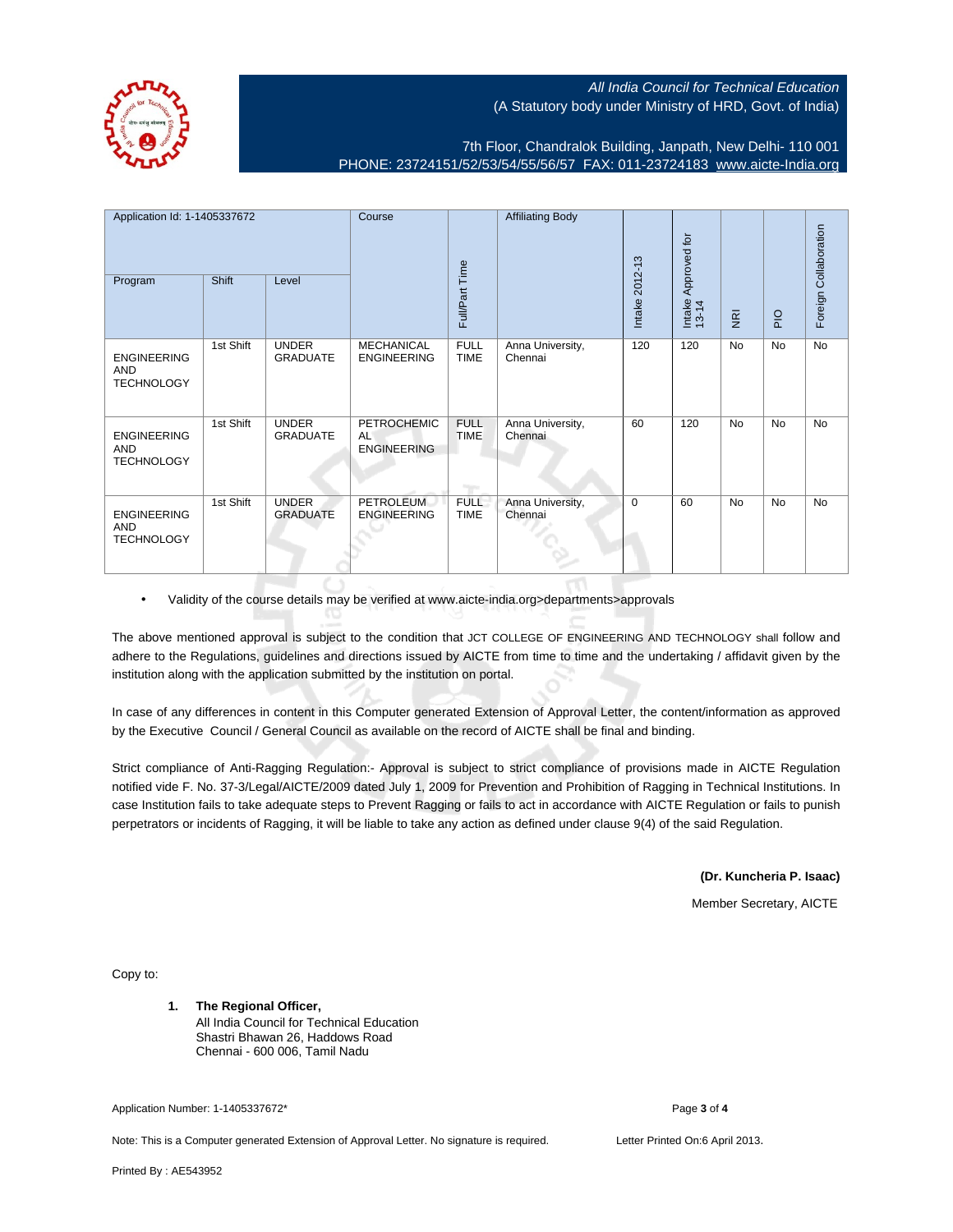

7th Floor, Chandralok Building, Janpath, New Delhi- 110 001 PHONE: 23724151/52/53/54/55/56/57 FAX: 011-23724183 [www.aicte-India.org](http://www.aicte-India.org)

| Application Id: 1-1405337672<br>Shift                 |           | Course                          |                                                       | <b>Affiliating Body</b>    |                             | Approved for      |                 |                         | Foreign Collaboration |           |
|-------------------------------------------------------|-----------|---------------------------------|-------------------------------------------------------|----------------------------|-----------------------------|-------------------|-----------------|-------------------------|-----------------------|-----------|
| Program                                               |           | Level                           |                                                       | Full/Part Time             |                             | 2012-13<br>Intake | Intake<br>13-14 | $\overline{\mathbf{g}}$ | $rac{O}{P}$           |           |
| <b>ENGINEERING</b><br><b>AND</b><br><b>TECHNOLOGY</b> | 1st Shift | <b>UNDER</b><br><b>GRADUATE</b> | <b>MECHANICAL</b><br><b>ENGINEERING</b>               | <b>FULL</b><br><b>TIME</b> | Anna University,<br>Chennai | 120               | 120             | No                      | No                    | No        |
| <b>ENGINEERING</b><br>AND<br><b>TECHNOLOGY</b>        | 1st Shift | <b>UNDER</b><br><b>GRADUATE</b> | <b>PETROCHEMIC</b><br><b>AL</b><br><b>ENGINEERING</b> | <b>FULL</b><br><b>TIME</b> | Anna University,<br>Chennai | 60                | 120             | <b>No</b>               | <b>No</b>             | <b>No</b> |
| <b>ENGINEERING</b><br>AND<br><b>TECHNOLOGY</b>        | 1st Shift | <b>UNDER</b><br><b>GRADUATE</b> | <b>PETROLEUM</b><br><b>ENGINEERING</b>                | <b>FULL</b><br><b>TIME</b> | Anna University,<br>Chennai | 0                 | 60              | <b>No</b>               | <b>No</b>             | <b>No</b> |

• Validity of the course details may be verified at www.aicte-india.org>departments>approvals

The above mentioned approval is subject to the condition that JCT COLLEGE OF ENGINEERING AND TECHNOLOGY shall follow and adhere to the Regulations, guidelines and directions issued by AICTE from time to time and the undertaking / affidavit given by the institution along with the application submitted by the institution on portal.

In case of any differences in content in this Computer generated Extension of Approval Letter, the content/information as approved by the Executive Council / General Council as available on the record of AICTE shall be final and binding.

Strict compliance of Anti-Ragging Regulation:- Approval is subject to strict compliance of provisions made in AICTE Regulation notified vide F. No. 37-3/Legal/AICTE/2009 dated July 1, 2009 for Prevention and Prohibition of Ragging in Technical Institutions. In case Institution fails to take adequate steps to Prevent Ragging or fails to act in accordance with AICTE Regulation or fails to punish perpetrators or incidents of Ragging, it will be liable to take any action as defined under clause 9(4) of the said Regulation.

**(Dr. Kuncheria P. Isaac)**

Member Secretary, AICTE

Copy to:

**1. The Regional Officer,** All India Council for Technical Education Shastri Bhawan 26, Haddows Road Chennai - 600 006, Tamil Nadu

Application Number: 1-1405337672\* Page **3** of **4**

Note: This is a Computer generated Extension of Approval Letter. No signature is required. Letter Printed On:6 April 2013.